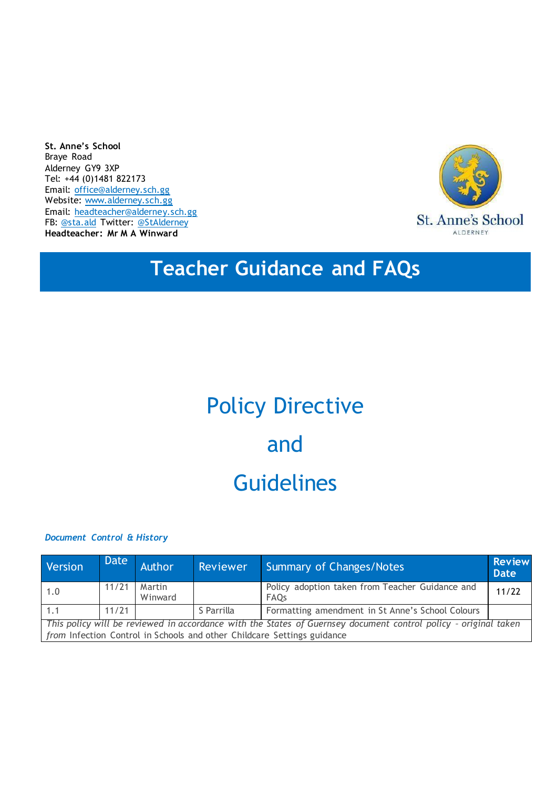**St. Anne's School** Braye Road Alderney GY9 3XP Tel: +44 (0)1481 822173 Email: [office@alderney.sch.gg](mailto:office@alderney.sch.gg) Website: [www.alderney.sch.gg](http://www.alderney.sch.gg/) Email: [headteacher@alderney.sch.gg](mailto:headteacher@alderney.sch.gg) FB: [@sta.ald](https://www.facebook.com/sta.ald/) Twitter: [@StAlderney](https://twitter.com/stalderney?lang=en) **Headteacher: Mr M A Winward**



# **Teacher Guidance and FAQs**

# Policy Directive and **Guidelines**

*Document Control & History*

| Version                                                                                                         | Date  | <b>Author</b>     | Reviewer   | Summary of Changes/Notes                                       | <b>Review</b><br><b>Date</b> |
|-----------------------------------------------------------------------------------------------------------------|-------|-------------------|------------|----------------------------------------------------------------|------------------------------|
| 1.0                                                                                                             | 11/21 | Martin<br>Winward |            | Policy adoption taken from Teacher Guidance and<br><b>FAOs</b> | 11/22                        |
| 1.1                                                                                                             | 11/21 |                   | S Parrilla | Formatting amendment in St Anne's School Colours               |                              |
| This policy will be reviewed in accordance with the States of Guernsey document control policy - original taken |       |                   |            |                                                                |                              |
| from Infection Control in Schools and other Childcare Settings guidance                                         |       |                   |            |                                                                |                              |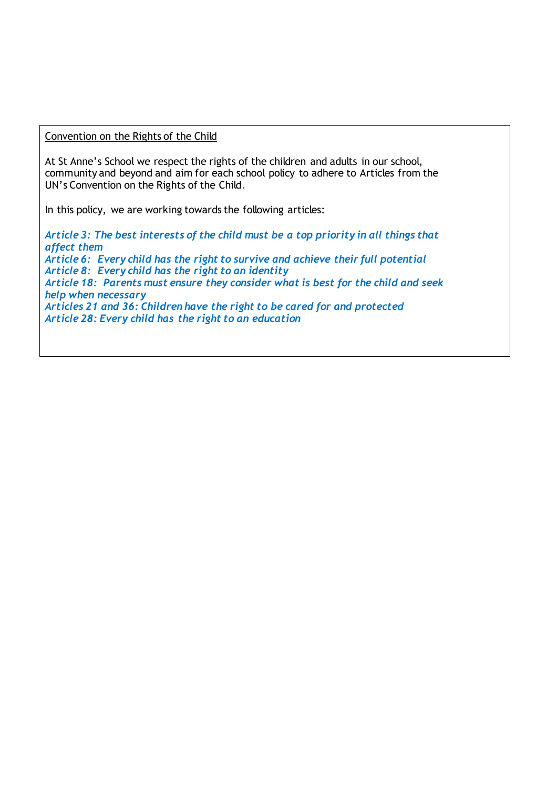Convention on the Rights of the Child

At St Anne's School we respect the rights of the children and adults in our school, community and beyond and aim for each school policy to adhere to Articles from the UN's Convention on the Rights of the Child*.*

In this policy, we are working towards the following articles:

*Article 3: The best interests of the child must be a top priority in all things that affect them Article 6: Every child has the right to survive and achieve their full potential Article 8: Every child has the right to an identity Article 18: Parents must ensure they consider what is best for the child and seek help when necessary Articles 21 and 36: Children have the right to be cared for and protected Article 28: Every child has the right to an education*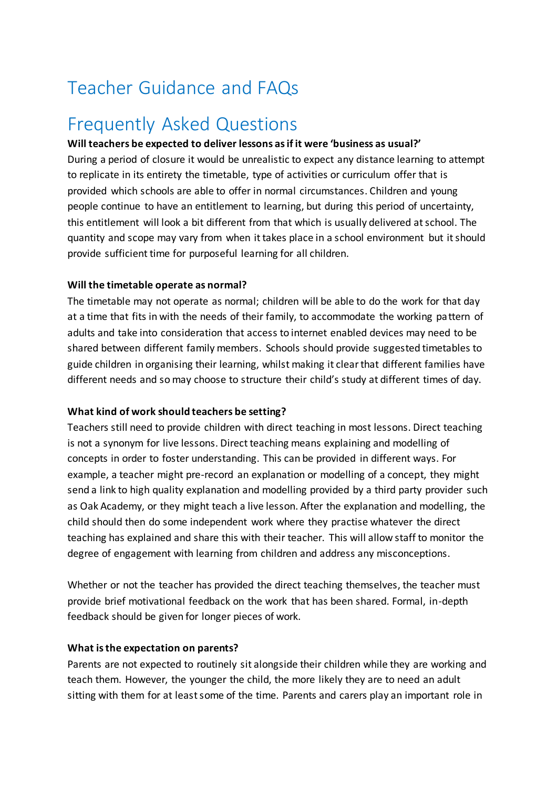# Teacher Guidance and FAQs

# Frequently Asked Questions

## **Will teachers be expected to deliver lessons asif it were 'business as usual?'**

During a period of closure it would be unrealistic to expect any distance learning to attempt to replicate in its entirety the timetable, type of activities or curriculum offer that is provided which schools are able to offer in normal circumstances. Children and young people continue to have an entitlement to learning, but during this period of uncertainty, this entitlement will look a bit different from that which is usually delivered at school. The quantity and scope may vary from when it takes place in a school environment but it should provide sufficient time for purposeful learning for all children.

#### **Will the timetable operate as normal?**

The timetable may not operate as normal; children will be able to do the work for that day at a time that fits in with the needs of their family, to accommodate the working pattern of adults and take into consideration that access to internet enabled devices may need to be shared between different family members. Schools should provide suggested timetables to guide children in organising their learning, whilst making it clearthat different families have different needs and so may choose to structure their child's study at different times of day.

#### **What kind of work should teachers be setting?**

Teachers still need to provide children with direct teaching in most lessons. Direct teaching is not a synonym for live lessons. Direct teaching means explaining and modelling of concepts in order to foster understanding. This can be provided in different ways. For example, a teacher might pre-record an explanation or modelling of a concept, they might send a link to high quality explanation and modelling provided by a third party provider such as Oak Academy, or they might teach a live lesson. After the explanation and modelling, the child should then do some independent work where they practise whatever the direct teaching has explained and share this with their teacher. This will allow staff to monitor the degree of engagement with learning from children and address any misconceptions.

Whether or not the teacher has provided the direct teaching themselves, the teacher must provide brief motivational feedback on the work that has been shared. Formal, in-depth feedback should be given for longer pieces of work.

#### **What isthe expectation on parents?**

Parents are not expected to routinely sit alongside their children while they are working and teach them. However, the younger the child, the more likely they are to need an adult sitting with them for at least some of the time. Parents and carers play an important role in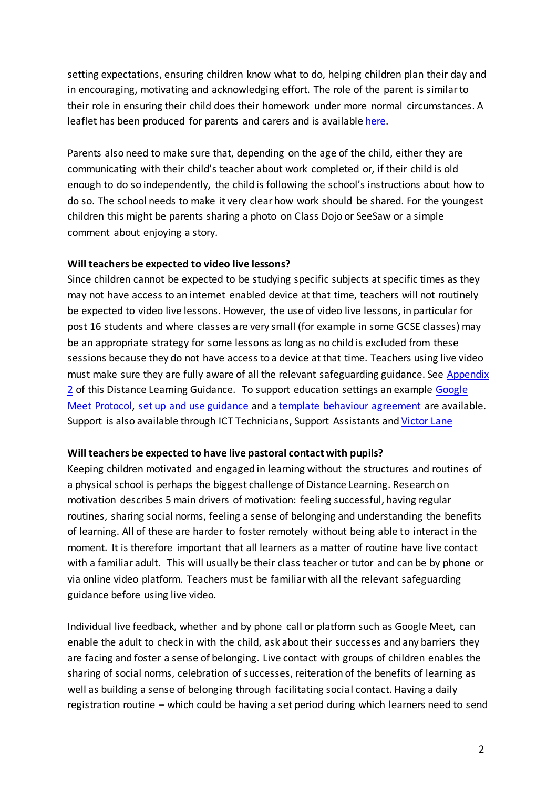setting expectations, ensuring children know what to do, helping children plan their day and in encouraging, motivating and acknowledging effort. The role of the parent is similar to their role in ensuring their child does their homework under more normal circumstances. A leaflet has been produced for parents and carers and is available [here.](https://drive.google.com/file/d/1qXoYbh65WQEuF_fd1RXGfyf9-nNSabAi/view)

Parents also need to make sure that, depending on the age of the child, either they are communicating with their child's teacher about work completed or, if their child is old enough to do so independently, the child is following the school's instructions about how to do so. The school needs to make it very clear how work should be shared. For the youngest children this might be parents sharing a photo on Class Dojo or SeeSaw or a simple comment about enjoying a story.

#### **Will teachers be expected to video live lessons?**

Since children cannot be expected to be studying specific subjects at specific times as they may not have access to an internet enabled device at that time, teachers will not routinely be expected to video live lessons. However, the use of video live lessons, in particular for post 16 students and where classes are very small (for example in some GCSE classes) may be an appropriate strategy for some lessons as long as no child is excluded from these sessions because they do not have access to a device at that time. Teachers using live video must make sure they are fully aware of all the relevant safeguarding guidance. See Appendix 2 of this Distance Learning Guidance. To support education settings an example [Google](https://drive.google.com/file/d/1vKDQ9lesE4DplV6ixf5t0RhfL5k5cn0Z/view?usp=sharing) [Meet Protocol,](https://drive.google.com/file/d/1vKDQ9lesE4DplV6ixf5t0RhfL5k5cn0Z/view?usp=sharing) [set up and use guidance](https://drive.google.com/file/d/1xoHuQOG3I9cRapYlsncR7xPuW4JM7UIh/view?usp=sharing) and [a template behaviour agreement](https://drive.google.com/file/d/1duglHXslLMPKC6bREYssOQcX___fohOy/view?usp=sharing) are available. Support is also available through ICT Technicians, Support Assistants and [Victor Lane](mailto:vlane@edc.sch.gg)

#### **Will teachers be expected to have live pastoral contact with pupils?**

Keeping children motivated and engaged in learning without the structures and routines of a physical school is perhaps the biggest challenge of Distance Learning. Research on motivation describes 5 main drivers of motivation: feeling successful, having regular routines, sharing social norms, feeling a sense of belonging and understanding the benefits of learning. All of these are harder to foster remotely without being able to interact in the moment. It is therefore important that all learners as a matter of routine have live contact with a familiar adult. This will usually be their class teacher or tutor and can be by phone or via online video platform. Teachers must be familiar with all the relevant safeguarding guidance before using live video.

Individual live feedback, whether and by phone call or platform such as Google Meet, can enable the adult to check in with the child, ask about their successes and any barriers they are facing and foster a sense of belonging. Live contact with groups of children enables the sharing of social norms, celebration of successes, reiteration of the benefits of learning as well as building a sense of belonging through facilitating social contact. Having a daily registration routine – which could be having a set period during which learners need to send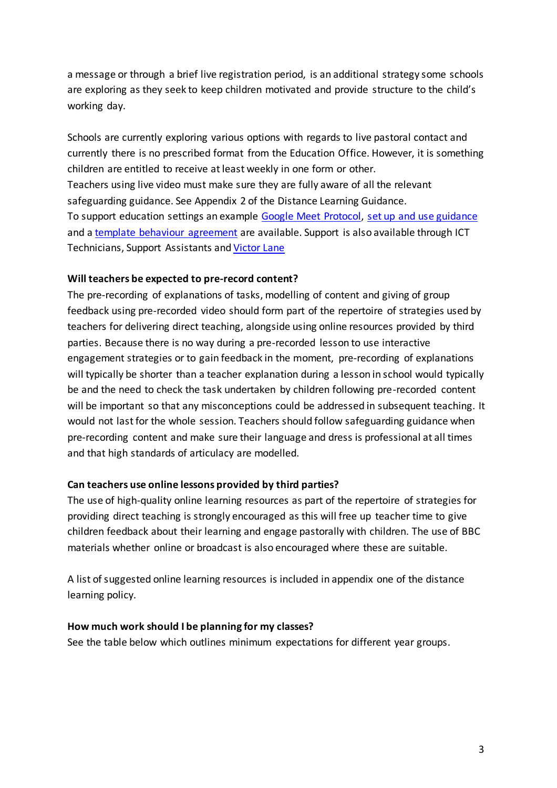a message or through a brief live registration period, is an additional strategy some schools are exploring as they seek to keep children motivated and provide structure to the child's working day.

Schools are currently exploring various options with regards to live pastoral contact and currently there is no prescribed format from the Education Office. However, it is something children are entitled to receive atleast weekly in one form or other. Teachers using live video must make sure they are fully aware of all the relevant safeguarding guidance. See Appendix 2 of the Distance Learning Guidance. To support education settings an example [Google Meet Protocol,](https://drive.google.com/file/d/1vKDQ9lesE4DplV6ixf5t0RhfL5k5cn0Z/view?usp=sharing) [set up and use guidance](https://drive.google.com/file/d/1xoHuQOG3I9cRapYlsncR7xPuW4JM7UIh/view?usp=sharing) and a [template behaviour agreement](https://drive.google.com/file/d/1duglHXslLMPKC6bREYssOQcX___fohOy/view?usp=sharing) are available. Support is also available through ICT Technicians, Support Assistants and [Victor](mailto:vlane@edc.sch.gg) Lane

#### **Will teachers be expected to pre-record content?**

The pre-recording of explanations of tasks, modelling of content and giving of group feedback using pre-recorded video should form part of the repertoire of strategies used by teachers for delivering direct teaching, alongside using online resources provided by third parties. Because there is no way during a pre-recorded lesson to use interactive engagement strategies or to gain feedback in the moment, pre-recording of explanations will typically be shorter than a teacher explanation during a lesson in school would typically be and the need to check the task undertaken by children following pre-recorded content will be important so that any misconceptions could be addressed in subsequent teaching. It would not last for the whole session. Teachers should follow safeguarding guidance when pre-recording content and make sure their language and dress is professional at all times and that high standards of articulacy are modelled.

# **Can teachers use online lessons provided by third parties?**

The use of high-quality online learning resources as part of the repertoire of strategies for providing direct teaching is strongly encouraged as this will free up teacher time to give children feedback about their learning and engage pastorally with children. The use of BBC materials whether online or broadcast is also encouraged where these are suitable.

A list of suggested online learning resources is included in appendix one of the distance learning policy.

#### **How much work should I be planning for my classes?**

See the table below which outlines minimum expectations for different year groups.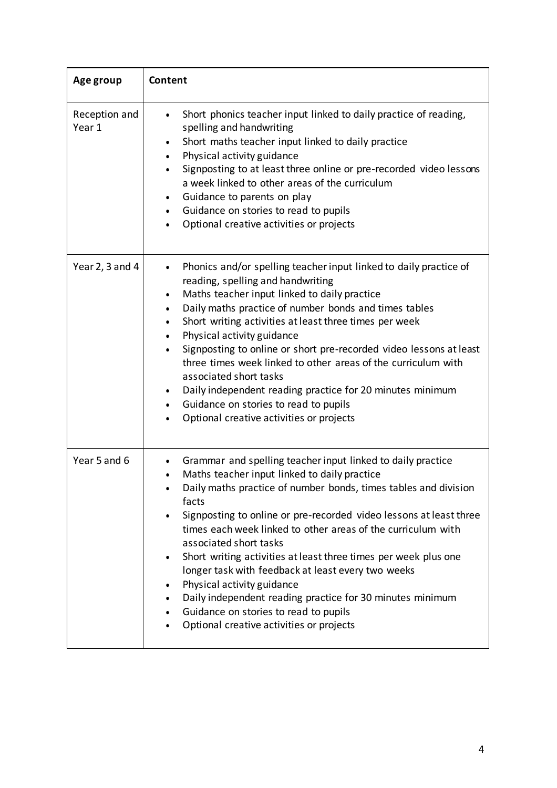| Age group               | Content                                                                                                                                                                                                                                                                                                                                                                                                                                                                                                                                                                                                                                                                                                              |  |
|-------------------------|----------------------------------------------------------------------------------------------------------------------------------------------------------------------------------------------------------------------------------------------------------------------------------------------------------------------------------------------------------------------------------------------------------------------------------------------------------------------------------------------------------------------------------------------------------------------------------------------------------------------------------------------------------------------------------------------------------------------|--|
| Reception and<br>Year 1 | Short phonics teacher input linked to daily practice of reading,<br>spelling and handwriting<br>Short maths teacher input linked to daily practice<br>$\bullet$<br>Physical activity guidance<br>Signposting to at least three online or pre-recorded video lessons<br>a week linked to other areas of the curriculum<br>Guidance to parents on play<br>$\bullet$<br>Guidance on stories to read to pupils<br>Optional creative activities or projects                                                                                                                                                                                                                                                               |  |
| Year 2, 3 and 4         | Phonics and/or spelling teacher input linked to daily practice of<br>reading, spelling and handwriting<br>Maths teacher input linked to daily practice<br>$\bullet$<br>Daily maths practice of number bonds and times tables<br>$\bullet$<br>Short writing activities at least three times per week<br>$\bullet$<br>Physical activity guidance<br>$\bullet$<br>Signposting to online or short pre-recorded video lessons at least<br>three times week linked to other areas of the curriculum with<br>associated short tasks<br>Daily independent reading practice for 20 minutes minimum<br>$\bullet$<br>Guidance on stories to read to pupils<br>$\bullet$<br>Optional creative activities or projects             |  |
| Year 5 and 6            | Grammar and spelling teacher input linked to daily practice<br>$\bullet$<br>Maths teacher input linked to daily practice<br>Daily maths practice of number bonds, times tables and division<br>facts<br>Signposting to online or pre-recorded video lessons at least three<br>times each week linked to other areas of the curriculum with<br>associated short tasks<br>Short writing activities at least three times per week plus one<br>$\bullet$<br>longer task with feedback at least every two weeks<br>Physical activity guidance<br>$\bullet$<br>Daily independent reading practice for 30 minutes minimum<br>Guidance on stories to read to pupils<br>Optional creative activities or projects<br>$\bullet$ |  |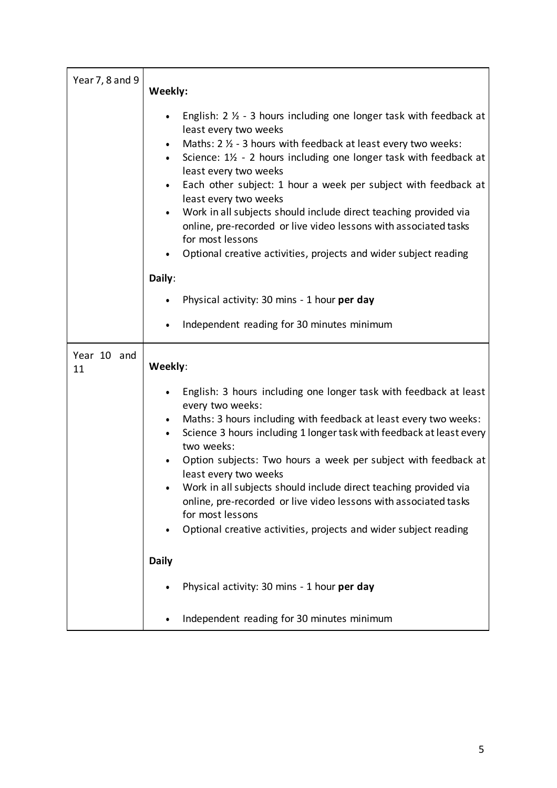| Year 7, 8 and 9   | Weekly:                                                                                                                                                                                                                                                                                                                                                                                                                                                                                                                                                                                                                                                        |  |  |
|-------------------|----------------------------------------------------------------------------------------------------------------------------------------------------------------------------------------------------------------------------------------------------------------------------------------------------------------------------------------------------------------------------------------------------------------------------------------------------------------------------------------------------------------------------------------------------------------------------------------------------------------------------------------------------------------|--|--|
|                   | English: $2 \frac{1}{2}$ - 3 hours including one longer task with feedback at<br>least every two weeks<br>Maths: 2 1/2 - 3 hours with feedback at least every two weeks:<br>$\bullet$<br>Science: 1½ - 2 hours including one longer task with feedback at<br>$\bullet$<br>least every two weeks<br>Each other subject: 1 hour a week per subject with feedback at<br>$\bullet$<br>least every two weeks<br>Work in all subjects should include direct teaching provided via<br>$\bullet$<br>online, pre-recorded or live video lessons with associated tasks<br>for most lessons<br>Optional creative activities, projects and wider subject reading<br>Daily: |  |  |
|                   | Physical activity: 30 mins - 1 hour per day                                                                                                                                                                                                                                                                                                                                                                                                                                                                                                                                                                                                                    |  |  |
|                   | Independent reading for 30 minutes minimum                                                                                                                                                                                                                                                                                                                                                                                                                                                                                                                                                                                                                     |  |  |
| Year 10 and<br>11 | Weekly:                                                                                                                                                                                                                                                                                                                                                                                                                                                                                                                                                                                                                                                        |  |  |
|                   | English: 3 hours including one longer task with feedback at least<br>$\bullet$                                                                                                                                                                                                                                                                                                                                                                                                                                                                                                                                                                                 |  |  |
|                   | every two weeks:<br>Maths: 3 hours including with feedback at least every two weeks:<br>$\bullet$<br>Science 3 hours including 1 longer task with feedback at least every<br>two weeks:<br>Option subjects: Two hours a week per subject with feedback at<br>least every two weeks<br>Work in all subjects should include direct teaching provided via<br>online, pre-recorded or live video lessons with associated tasks<br>for most lessons<br>Optional creative activities, projects and wider subject reading<br>$\bullet$                                                                                                                                |  |  |
|                   | <b>Daily</b>                                                                                                                                                                                                                                                                                                                                                                                                                                                                                                                                                                                                                                                   |  |  |
|                   | Physical activity: 30 mins - 1 hour per day                                                                                                                                                                                                                                                                                                                                                                                                                                                                                                                                                                                                                    |  |  |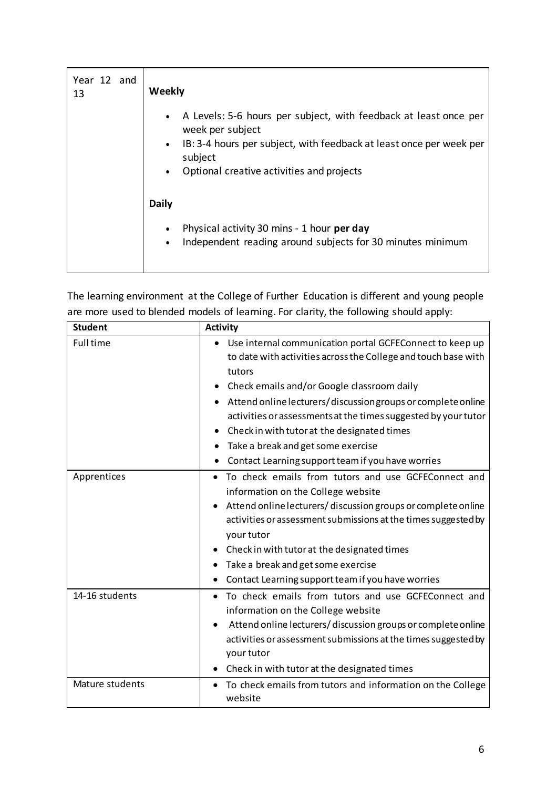| Year 12 and<br>13 | Weekly                                                                                                                                                                                                                                                     |
|-------------------|------------------------------------------------------------------------------------------------------------------------------------------------------------------------------------------------------------------------------------------------------------|
|                   | A Levels: 5-6 hours per subject, with feedback at least once per<br>$\bullet$<br>week per subject<br>IB: 3-4 hours per subject, with feedback at least once per week per<br>$\bullet$<br>subject<br>Optional creative activities and projects<br>$\bullet$ |
|                   | <b>Daily</b>                                                                                                                                                                                                                                               |
|                   | Physical activity 30 mins - 1 hour per day<br>$\bullet$<br>Independent reading around subjects for 30 minutes minimum<br>$\bullet$                                                                                                                         |

The learning environment at the College of Further Education is different and young people are more used to blended models of learning. For clarity, the following should apply:

| <b>Student</b>   | <b>Activity</b>                                                                                                                                                                                                                                                                                                                                                                                                                                                     |
|------------------|---------------------------------------------------------------------------------------------------------------------------------------------------------------------------------------------------------------------------------------------------------------------------------------------------------------------------------------------------------------------------------------------------------------------------------------------------------------------|
| <b>Full time</b> | Use internal communication portal GCFEConnect to keep up<br>to date with activities across the College and touch base with<br>tutors<br>Check emails and/or Google classroom daily<br>٠<br>Attend online lecturers/discussion groups or complete online<br>activities or assessments at the times suggested by your tutor<br>Check in with tutor at the designated times<br>Take a break and get some exercise<br>Contact Learning support team if you have worries |
| Apprentices      | To check emails from tutors and use GCFEConnect and<br>٠<br>information on the College website<br>Attend online lecturers/discussion groups or complete online<br>activities or assessment submissions at the times suggested by<br>your tutor<br>Check in with tutor at the designated times<br>Take a break and get some exercise<br>Contact Learning support team if you have worries<br>٠                                                                       |
| 14-16 students   | To check emails from tutors and use GCFEConnect and<br>information on the College website<br>Attend online lecturers/discussion groups or complete online<br>activities or assessment submissions at the times suggested by<br>your tutor<br>Check in with tutor at the designated times                                                                                                                                                                            |
| Mature students  | To check emails from tutors and information on the College<br>website                                                                                                                                                                                                                                                                                                                                                                                               |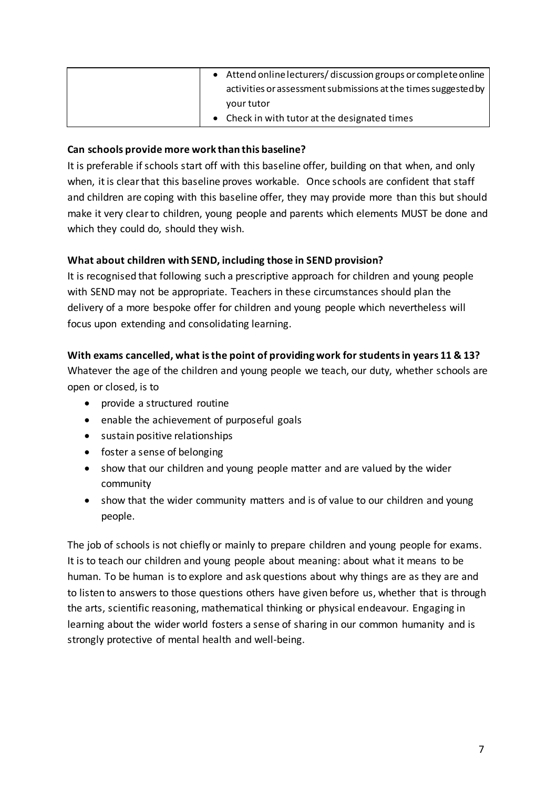| Attend online lecturers/discussion groups or complete online   |
|----------------------------------------------------------------|
| activities or assessment submissions at the times suggested by |
| your tutor                                                     |
| Check in with tutor at the designated times                    |

#### **Can schools provide more work than this baseline?**

It is preferable if schools start off with this baseline offer, building on that when, and only when, it is clear that this baseline proves workable. Once schools are confident that staff and children are coping with this baseline offer, they may provide more than this but should make it very clearto children, young people and parents which elements MUST be done and which they could do, should they wish.

## **What about children with SEND, including those in SEND provision?**

It is recognised that following such a prescriptive approach for children and young people with SEND may not be appropriate. Teachers in these circumstances should plan the delivery of a more bespoke offer for children and young people which nevertheless will focus upon extending and consolidating learning.

## **With exams cancelled, what is the point of providing work for students in years 11 & 13?**

Whatever the age of the children and young people we teach, our duty, whether schools are open or closed, is to

- provide a structured routine
- enable the achievement of purposeful goals
- sustain positive relationships
- foster a sense of belonging
- show that our children and young people matter and are valued by the wider community
- show that the wider community matters and is of value to our children and young people.

The job of schools is not chiefly or mainly to prepare children and young people for exams. It is to teach our children and young people about meaning: about what it means to be human. To be human is to explore and ask questions about why things are as they are and to listen to answers to those questions others have given before us, whether that is through the arts, scientific reasoning, mathematical thinking or physical endeavour. Engaging in learning about the wider world fosters a sense of sharing in our common humanity and is strongly protective of mental health and well-being.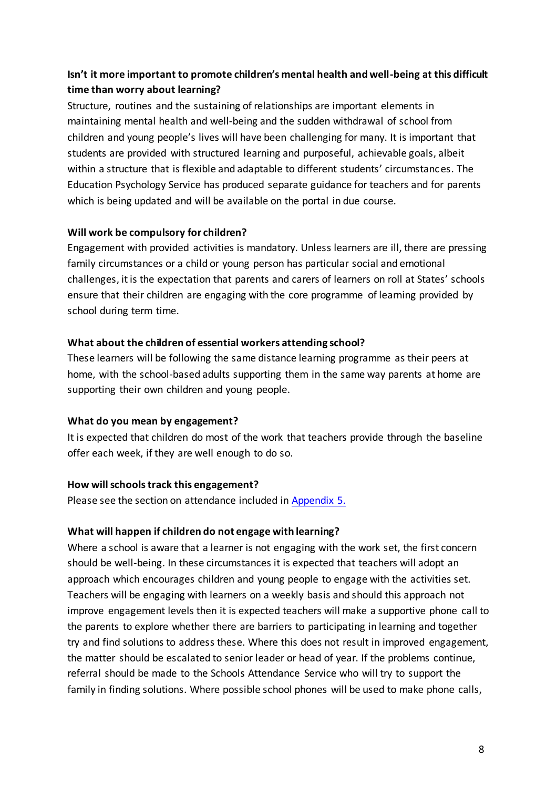# **Isn't it more important to promote children's mental health and well-being at this difficult time than worry about learning?**

Structure, routines and the sustaining of relationships are important elements in maintaining mental health and well-being and the sudden withdrawal of school from children and young people's lives will have been challenging for many. It is important that students are provided with structured learning and purposeful, achievable goals, albeit within a structure that is flexible and adaptable to different students' circumstances. The Education Psychology Service has produced separate guidance for teachers and for parents which is being updated and will be available on the portal in due course.

## **Will work be compulsory for children?**

Engagement with provided activities is mandatory. Unless learners are ill, there are pressing family circumstances or a child or young person has particular social and emotional challenges, it is the expectation that parents and carers of learners on roll at States' schools ensure that their children are engaging with the core programme of learning provided by school during term time.

## **What about the children of essential workers attending school?**

These learners will be following the same distance learning programme as their peers at home, with the school-based adults supporting them in the same way parents at home are supporting their own children and young people.

# **What do you mean by engagement?**

It is expected that children do most of the work that teachers provide through the baseline offer each week, if they are well enough to do so.

# **How willschoolstrack this engagement?**

Please see the section on attendance included in Appendix 5.

#### **What will happen if children do not engage with learning?**

Where a school is aware that a learner is not engaging with the work set, the first concern should be well-being. In these circumstances it is expected that teachers will adopt an approach which encourages children and young people to engage with the activities set. Teachers will be engaging with learners on a weekly basis and should this approach not improve engagement levels then it is expected teachers will make a supportive phone call to the parents to explore whether there are barriers to participating in learning and together try and find solutions to address these. Where this does not result in improved engagement, the matter should be escalated to senior leader or head of year. If the problems continue, referral should be made to the Schools Attendance Service who will try to support the family in finding solutions. Where possible school phones will be used to make phone calls,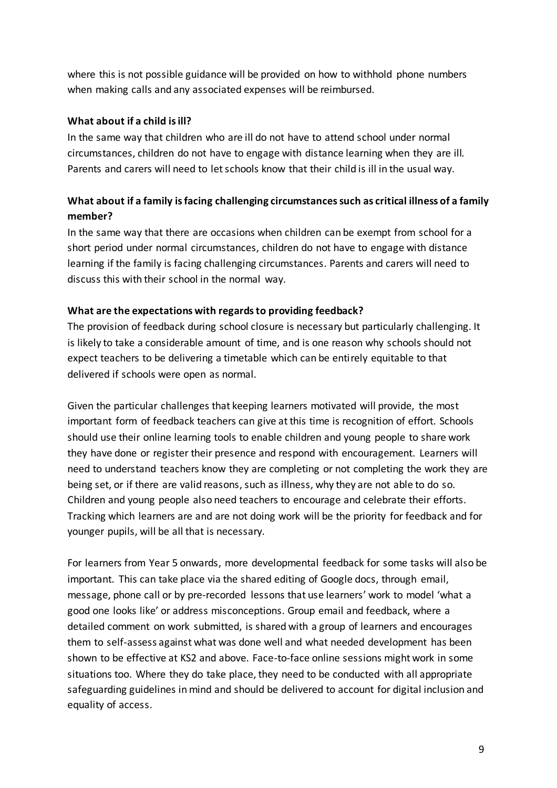where this is not possible guidance will be provided on how to withhold phone numbers when making calls and any associated expenses will be reimbursed.

#### **What about if a child isill?**

In the same way that children who are ill do not have to attend school under normal circumstances, children do not have to engage with distance learning when they are ill. Parents and carers will need to letschools know that their child is ill in the usual way.

# **What about if a family isfacing challenging circumstancessuch as critical illness of a family member?**

In the same way that there are occasions when children can be exempt from school for a short period under normal circumstances, children do not have to engage with distance learning if the family is facing challenging circumstances. Parents and carers will need to discuss this with their school in the normal way.

#### **What are the expectations with regardsto providing feedback?**

The provision of feedback during school closure is necessary but particularly challenging. It is likely to take a considerable amount of time, and is one reason why schools should not expect teachers to be delivering a timetable which can be entirely equitable to that delivered if schools were open as normal.

Given the particular challenges that keeping learners motivated will provide, the most important form of feedback teachers can give at this time is recognition of effort. Schools should use their online learning tools to enable children and young people to share work they have done or register their presence and respond with encouragement. Learners will need to understand teachers know they are completing or not completing the work they are being set, or if there are valid reasons, such as illness, why they are not able to do so. Children and young people also need teachers to encourage and celebrate their efforts. Tracking which learners are and are not doing work will be the priority for feedback and for younger pupils, will be all that is necessary.

For learners from Year 5 onwards, more developmental feedback for some tasks will also be important. This can take place via the shared editing of Google docs, through email, message, phone call or by pre-recorded lessons that use learners' work to model 'what a good one looks like' or address misconceptions. Group email and feedback, where a detailed comment on work submitted, is shared with a group of learners and encourages them to self-assess against what was done well and what needed development has been shown to be effective at KS2 and above. Face-to-face online sessions might work in some situations too. Where they do take place, they need to be conducted with all appropriate safeguarding guidelines in mind and should be delivered to account for digital inclusion and equality of access.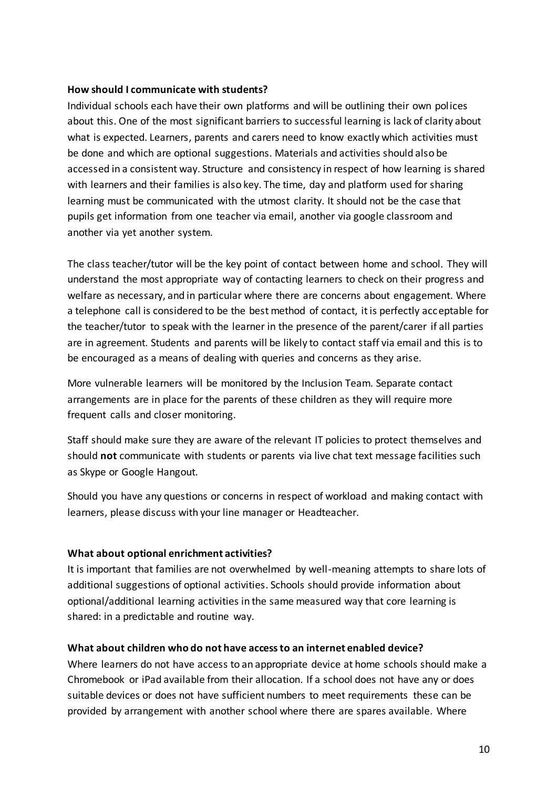#### **How should I communicate with students?**

Individual schools each have their own platforms and will be outlining their own polices about this. One of the most significant barriers to successful learning is lack of clarity about what is expected. Learners, parents and carers need to know exactly which activities must be done and which are optional suggestions. Materials and activities should also be accessed in a consistent way. Structure and consistency in respect of how learning is shared with learners and their families is also key. The time, day and platform used for sharing learning must be communicated with the utmost clarity. It should not be the case that pupils get information from one teacher via email, another via google classroom and another via yet another system.

The class teacher/tutor will be the key point of contact between home and school. They will understand the most appropriate way of contacting learners to check on their progress and welfare as necessary, and in particular where there are concerns about engagement. Where a telephone call is considered to be the best method of contact, it is perfectly acceptable for the teacher/tutor to speak with the learner in the presence of the parent/carer if all parties are in agreement. Students and parents will be likely to contact staff via email and this is to be encouraged as a means of dealing with queries and concerns as they arise.

More vulnerable learners will be monitored by the Inclusion Team. Separate contact arrangements are in place for the parents of these children as they will require more frequent calls and closer monitoring.

Staff should make sure they are aware of the relevant IT policies to protect themselves and should **not** communicate with students or parents via live chat text message facilities such as Skype or Google Hangout.

Should you have any questions or concerns in respect of workload and making contact with learners, please discuss with your line manager or Headteacher.

#### **What about optional enrichment activities?**

It is important that families are not overwhelmed by well-meaning attempts to share lots of additional suggestions of optional activities. Schools should provide information about optional/additional learning activities in the same measured way that core learning is shared: in a predictable and routine way.

#### **What about children who do not have accessto an internet enabled device?**

Where learners do not have access to an appropriate device at home schools should make a Chromebook or iPad available from their allocation. If a school does not have any or does suitable devices or does not have sufficient numbers to meet requirements these can be provided by arrangement with another school where there are spares available. Where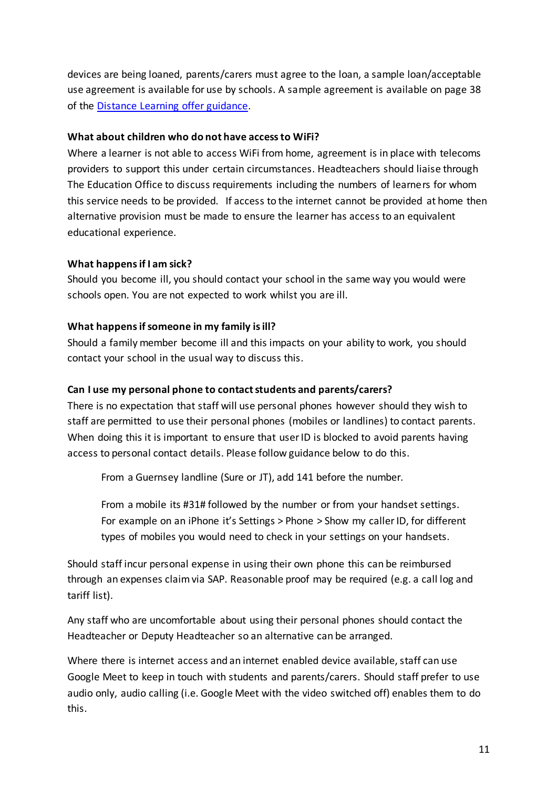devices are being loaned, parents/carers must agree to the loan, a sample loan/acceptable use agreement is available for use by schools. A sample agreement is available on page 38 of the Distance Learning offer [guidance.](https://drive.google.com/file/d/1E-wrY4HSvsI3O4IAWRtSsGeIVYm2BL-7/view?usp=drive_open)

#### **What about children who do not have accessto WiFi?**

Where a learner is not able to access WiFi from home, agreement is in place with telecoms providers to support this under certain circumstances. Headteachers should liaise through The Education Office to discuss requirements including the numbers of learners for whom this service needs to be provided. If access to the internet cannot be provided at home then alternative provision must be made to ensure the learner has access to an equivalent educational experience.

#### **What happensif I am sick?**

Should you become ill, you should contact your school in the same way you would were schools open. You are not expected to work whilst you are ill.

#### **What happensifsomeone in my family isill?**

Should a family member become ill and this impacts on your ability to work, you should contact your school in the usual way to discuss this.

#### **Can I use my personal phone to contactstudents and parents/carers?**

There is no expectation that staff will use personal phones however should they wish to staff are permitted to use their personal phones (mobiles or landlines) to contact parents. When doing this it is important to ensure that user ID is blocked to avoid parents having access to personal contact details. Please follow guidance below to do this.

From a Guernsey landline (Sure or JT), add 141 before the number.

From a mobile its #31# followed by the number or from your handset settings. For example on an iPhone it's Settings > Phone > Show my caller ID, for different types of mobiles you would need to check in your settings on your handsets.

Should staff incur personal expense in using their own phone this can be reimbursed through an expenses claim via SAP. Reasonable proof may be required (e.g. a call log and tariff list).

Any staff who are uncomfortable about using their personal phones should contact the Headteacher or Deputy Headteacher so an alternative can be arranged.

Where there is internet access and an internet enabled device available, staff can use Google Meet to keep in touch with students and parents/carers. Should staff prefer to use audio only, audio calling (i.e. Google Meet with the video switched off) enables them to do this.